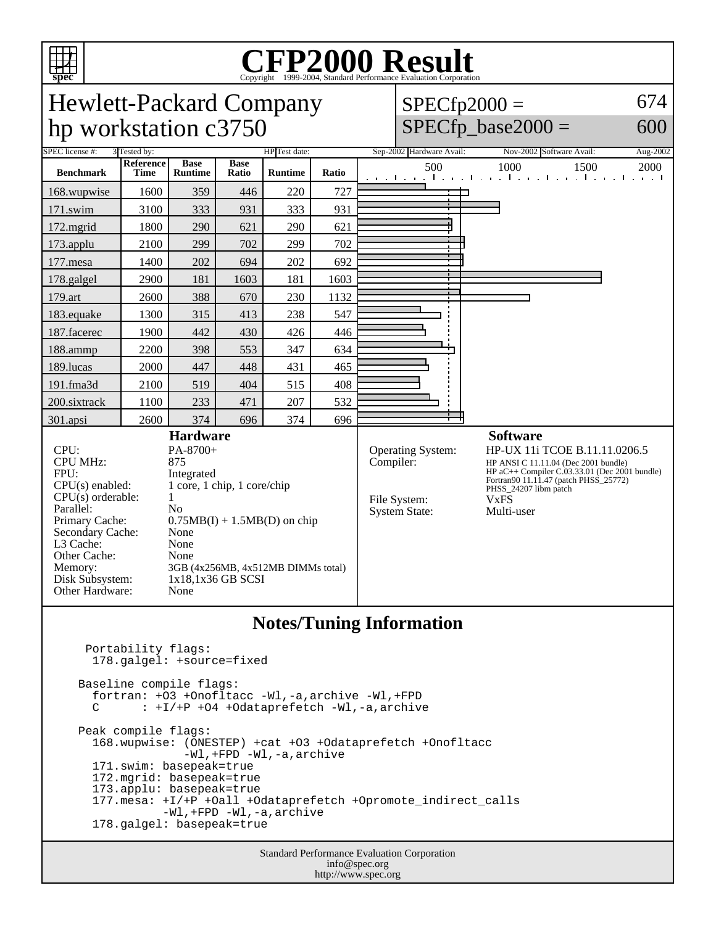

## Copyright ©1999-2004, Standard Performance Evaluation Corporation

Hewlett-Packard Company 674  $SPECfp2000 =$ hp workstation c3750  $SPECfp\_base2000 =$ 600 SPEC license #: 3 Tested by: HP Test date: Sep-2002 Hardware Avail: Nov-2002 Software Avail: Aug-2002 **Reference Base Base Ratio Runtime Ratio** 500 1000 1500 2000 **Benchmark Runtime Time** 168.wupwise 1600 359 446 220 727 ┑ 171.swim | 3100 | 333 | 931 | 333 | 931 172.mgrid | 1800 | 290 | 621 | 290 | 621 173.applu | 2100 | 299 | 702 | 299 | 702 177.mesa | 1400 | 202 | 694 | 202 | 692 178.galgel | 2900 | 181 | 1603 | 181 | 1603 179.art | 2600 | 388 | 670 | 230 | 1132 183.equake 1300 315 413 238 547 187.facerec | 1900 442 430 426 446 188.ammp | 2200 | 398 | 553 | 347 | 634 189.lucas | 2000 | 447 | 448 | 431 | 465 191.fma3d 2100 519 404 515 408 200.sixtrack 1100 233 471 207 532 301.apsi 2600 374 696 374 696 **Hardware Software** CPU: PA-8700+<br>CPU MHz: 875 Operating System: HP-UX 11i TCOE B.11.11.0206.5<br>Compiler: HP ANSI C 11.11.04 (Dec 2001 bundle) CPU MHz: HP ANSI C 11.11.04 (Dec 2001 bundle) HP aC++ Compiler C.03.33.01 (Dec 2001 bundle) FPU: Integrated<br>CPU(s) enabled: 1 core, 1 c Fortran90 11.11.47 (patch PHSS\_25772) 1 core, 1 chip, 1 core/chip PHSS\_24207 libm patch  $CPU(s)$  orderable:  $1$ File System: VxFS<br>System State: Multi-user Parallel: No<br>Primary Cache: 0.7 System State:  $0.75MB(I) + 1.5MB(D)$  on chip Secondary Cache: None L3 Cache: None Other Cache: None Memory: 3GB (4x256MB, 4x512MB DIMMs total) Disk Subsystem: 1x18,1x36 GB SCSI Other Hardware: None **Notes/Tuning Information** Portability flags: 178.galgel: +source=fixed Baseline compile flags:

 C : +I/+P +O4 +Odataprefetch -Wl,-a,archive Peak compile flags: 168.wupwise: (ONESTEP) +cat +O3 +Odataprefetch +Onofltacc -Wl,+FPD -Wl,-a,archive 171.swim: basepeak=true 172.mgrid: basepeak=true 173.applu: basepeak=true 177.mesa: +I/+P +Oall +Odataprefetch +Opromote\_indirect\_calls -Wl,+FPD -Wl,-a,archive 178.galgel: basepeak=true

fortran: +O3 +Onofltacc -Wl,-a,archive -Wl,+FPD

Standard Performance Evaluation Corporation info@spec.org http://www.spec.org